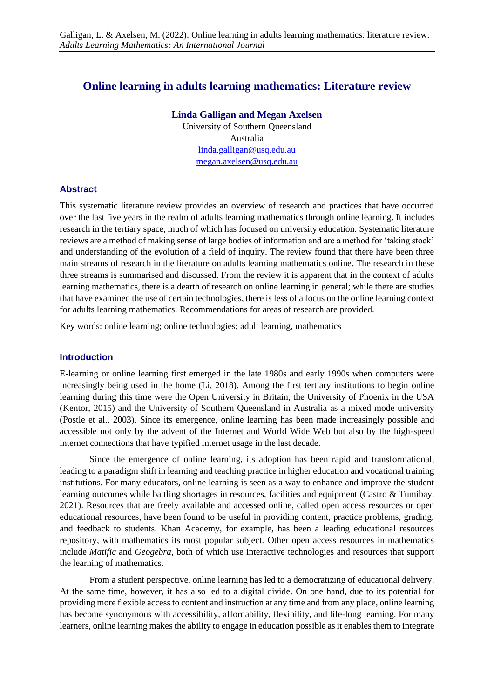# **Online learning in adults learning mathematics: Literature review**

#### **Linda Galligan and Megan Axelsen**

University of Southern Queensland Australia [linda.galligan@usq.edu.au](mailto:linda.galligan@usq.edu.au) [megan.axelsen@usq.edu.au](mailto:megan.axelsen@usq.edu.au)

#### **Abstract**

This systematic literature review provides an overview of research and practices that have occurred over the last five years in the realm of adults learning mathematics through online learning. It includes research in the tertiary space, much of which has focused on university education. Systematic literature reviews are a method of making sense of large bodies of information and are a method for 'taking stock' and understanding of the evolution of a field of inquiry. The review found that there have been three main streams of research in the literature on adults learning mathematics online. The research in these three streams is summarised and discussed. From the review it is apparent that in the context of adults learning mathematics, there is a dearth of research on online learning in general; while there are studies that have examined the use of certain technologies, there is less of a focus on the online learning context for adults learning mathematics. Recommendations for areas of research are provided.

Key words: online learning; online technologies; adult learning, mathematics

#### **Introduction**

E-learning or online learning first emerged in the late 1980s and early 1990s when computers were increasingly being used in the home (Li, 2018). Among the first tertiary institutions to begin online learning during this time were the Open University in Britain, the University of Phoenix in the USA (Kentor, 2015) and the University of Southern Queensland in Australia as a mixed mode university (Postle et al., 2003). Since its emergence, online learning has been made increasingly possible and accessible not only by the advent of the Internet and World Wide Web but also by the high-speed internet connections that have typified internet usage in the last decade.

Since the emergence of online learning, its adoption has been rapid and transformational, leading to a paradigm shift in learning and teaching practice in higher education and vocational training institutions. For many educators, online learning is seen as a way to enhance and improve the student learning outcomes while battling shortages in resources, facilities and equipment (Castro & Tumibay, 2021). Resources that are freely available and accessed online, called open access resources or open educational resources, have been found to be useful in providing content, practice problems, grading, and feedback to students. Khan Academy, for example, has been a leading educational resources repository, with mathematics its most popular subject. Other open access resources in mathematics include *Matific* and *Geogebra*, both of which use interactive technologies and resources that support the learning of mathematics.

From a student perspective, online learning has led to a democratizing of educational delivery. At the same time, however, it has also led to a digital divide. On one hand, due to its potential for providing more flexible access to content and instruction at any time and from any place, online learning has become synonymous with accessibility, affordability, flexibility, and life-long learning. For many learners, online learning makes the ability to engage in education possible as it enables them to integrate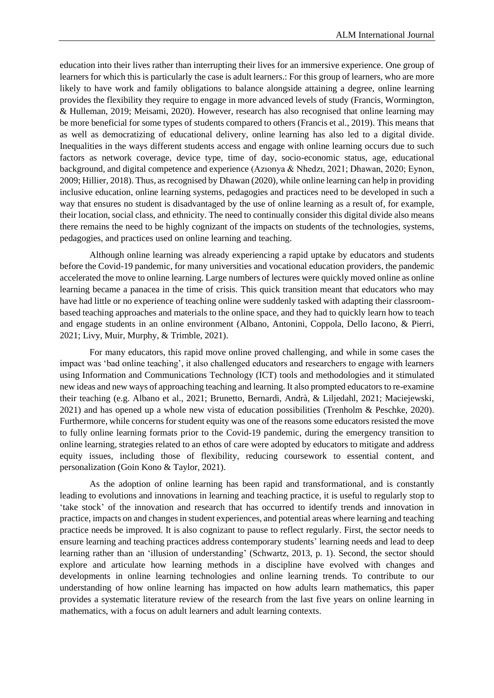education into their lives rather than interrupting their lives for an immersive experience. One group of learners for which this is particularly the case is adult learners.: For this group of learners, who are more likely to have work and family obligations to balance alongside attaining a degree, online learning provides the flexibility they require to engage in more advanced levels of study (Francis, Wormington, & Hulleman, 2019; Meisami, 2020). However, research has also recognised that online learning may be more beneficial for some types of students compared to others (Francis et al., 2019). This means that as well as democratizing of educational delivery, online learning has also led to a digital divide. Inequalities in the ways different students access and engage with online learning occurs due to such factors as network coverage, device type, time of day, socio-economic status, age, educational background, and digital competence and experience (Azıonya & Nhedzı, 2021; Dhawan, 2020; Eynon, 2009; Hillier, 2018). Thus, as recognised by Dhawan (2020), while online learning can help in providing inclusive education, online learning systems, pedagogies and practices need to be developed in such a way that ensures no student is disadvantaged by the use of online learning as a result of, for example, their location, social class, and ethnicity. The need to continually consider this digital divide also means there remains the need to be highly cognizant of the impacts on students of the technologies, systems, pedagogies, and practices used on online learning and teaching.

Although online learning was already experiencing a rapid uptake by educators and students before the Covid-19 pandemic, for many universities and vocational education providers, the pandemic accelerated the move to online learning. Large numbers of lectures were quickly moved online as online learning became a panacea in the time of crisis. This quick transition meant that educators who may have had little or no experience of teaching online were suddenly tasked with adapting their classroombased teaching approaches and materials to the online space, and they had to quickly learn how to teach and engage students in an online environment (Albano, Antonini, Coppola, Dello Iacono, & Pierri, 2021; Livy, Muir, Murphy, & Trimble, 2021).

For many educators, this rapid move online proved challenging, and while in some cases the impact was 'bad online teaching', it also challenged educators and researchers to engage with learners using Information and Communications Technology (ICT) tools and methodologies and it stimulated new ideas and new ways of approaching teaching and learning. It also prompted educators to re-examine their teaching (e.g. Albano et al., 2021; Brunetto, Bernardi, Andrà, & Liljedahl, 2021; Maciejewski, 2021) and has opened up a whole new vista of education possibilities (Trenholm & Peschke, 2020). Furthermore, while concerns for student equity was one of the reasons some educators resisted the move to fully online learning formats prior to the Covid-19 pandemic, during the emergency transition to online learning, strategies related to an ethos of care were adopted by educators to mitigate and address equity issues, including those of flexibility, reducing coursework to essential content, and personalization (Goin Kono & Taylor, 2021).

As the adoption of online learning has been rapid and transformational, and is constantly leading to evolutions and innovations in learning and teaching practice, it is useful to regularly stop to 'take stock' of the innovation and research that has occurred to identify trends and innovation in practice, impacts on and changes in student experiences, and potential areas where learning and teaching practice needs be improved. It is also cognizant to pause to reflect regularly. First, the sector needs to ensure learning and teaching practices address contemporary students' learning needs and lead to deep learning rather than an 'illusion of understanding' (Schwartz, 2013, p. 1). Second, the sector should explore and articulate how learning methods in a discipline have evolved with changes and developments in online learning technologies and online learning trends. To contribute to our understanding of how online learning has impacted on how adults learn mathematics, this paper provides a systematic literature review of the research from the last five years on online learning in mathematics, with a focus on adult learners and adult learning contexts.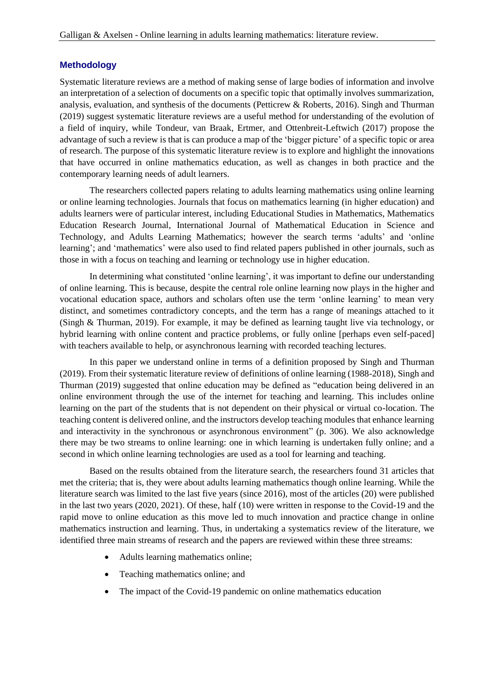### **Methodology**

Systematic literature reviews are a method of making sense of large bodies of information and involve an interpretation of a selection of documents on a specific topic that optimally involves summarization, analysis, evaluation, and synthesis of the documents (Petticrew & Roberts, 2016). Singh and Thurman (2019) suggest systematic literature reviews are a useful method for understanding of the evolution of a field of inquiry, while Tondeur, van Braak, Ertmer, and Ottenbreit-Leftwich (2017) propose the advantage of such a review is that is can produce a map of the 'bigger picture' of a specific topic or area of research. The purpose of this systematic literature review is to explore and highlight the innovations that have occurred in online mathematics education, as well as changes in both practice and the contemporary learning needs of adult learners.

The researchers collected papers relating to adults learning mathematics using online learning or online learning technologies. Journals that focus on mathematics learning (in higher education) and adults learners were of particular interest, including Educational Studies in Mathematics, Mathematics Education Research Journal, International Journal of Mathematical Education in Science and Technology, and Adults Learning Mathematics; however the search terms 'adults' and 'online learning'; and 'mathematics' were also used to find related papers published in other journals, such as those in with a focus on teaching and learning or technology use in higher education.

In determining what constituted 'online learning', it was important to define our understanding of online learning. This is because, despite the central role online learning now plays in the higher and vocational education space, authors and scholars often use the term 'online learning' to mean very distinct, and sometimes contradictory concepts, and the term has a range of meanings attached to it (Singh & Thurman, 2019). For example, it may be defined as learning taught live via technology, or hybrid learning with online content and practice problems, or fully online [perhaps even self-paced] with teachers available to help, or asynchronous learning with recorded teaching lectures.

In this paper we understand online in terms of a definition proposed by Singh and Thurman (2019). From their systematic literature review of definitions of online learning (1988-2018), Singh and Thurman (2019) suggested that online education may be defined as "education being delivered in an online environment through the use of the internet for teaching and learning. This includes online learning on the part of the students that is not dependent on their physical or virtual co-location. The teaching content is delivered online, and the instructors develop teaching modules that enhance learning and interactivity in the synchronous or asynchronous environment" (p. 306). We also acknowledge there may be two streams to online learning: one in which learning is undertaken fully online; and a second in which online learning technologies are used as a tool for learning and teaching.

Based on the results obtained from the literature search, the researchers found 31 articles that met the criteria; that is, they were about adults learning mathematics though online learning. While the literature search was limited to the last five years (since 2016), most of the articles (20) were published in the last two years (2020, 2021). Of these, half (10) were written in response to the Covid-19 and the rapid move to online education as this move led to much innovation and practice change in online mathematics instruction and learning. Thus, in undertaking a systematics review of the literature, we identified three main streams of research and the papers are reviewed within these three streams:

- Adults learning mathematics online;
- Teaching mathematics online; and
- The impact of the Covid-19 pandemic on online mathematics education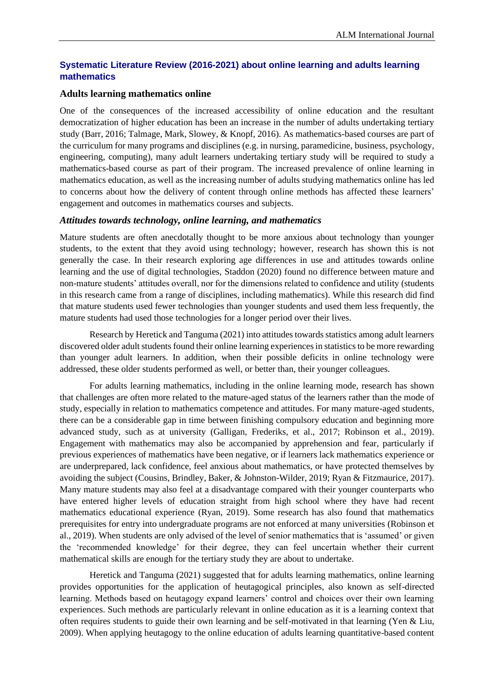## **Systematic Literature Review (2016-2021) about online learning and adults learning mathematics**

#### **Adults learning mathematics online**

One of the consequences of the increased accessibility of online education and the resultant democratization of higher education has been an increase in the number of adults undertaking tertiary study (Barr, 2016; Talmage, Mark, Slowey, & Knopf, 2016). As mathematics-based courses are part of the curriculum for many programs and disciplines (e.g. in nursing, paramedicine, business, psychology, engineering, computing), many adult learners undertaking tertiary study will be required to study a mathematics-based course as part of their program. The increased prevalence of online learning in mathematics education, as well as the increasing number of adults studying mathematics online has led to concerns about how the delivery of content through online methods has affected these learners' engagement and outcomes in mathematics courses and subjects.

#### *Attitudes towards technology, online learning, and mathematics*

Mature students are often anecdotally thought to be more anxious about technology than younger students, to the extent that they avoid using technology; however, research has shown this is not generally the case. In their research exploring age differences in use and attitudes towards online learning and the use of digital technologies, Staddon (2020) found no difference between mature and non-mature students' attitudes overall, nor for the dimensions related to confidence and utility (students in this research came from a range of disciplines, including mathematics). While this research did find that mature students used fewer technologies than younger students and used them less frequently, the mature students had used those technologies for a longer period over their lives.

Research by Heretick and Tanguma (2021) into attitudes towards statistics among adult learners discovered older adult students found their online learning experiences in statistics to be more rewarding than younger adult learners. In addition, when their possible deficits in online technology were addressed, these older students performed as well, or better than, their younger colleagues.

For adults learning mathematics, including in the online learning mode, research has shown that challenges are often more related to the mature-aged status of the learners rather than the mode of study, especially in relation to mathematics competence and attitudes. For many mature-aged students, there can be a considerable gap in time between finishing compulsory education and beginning more advanced study, such as at university (Galligan, Frederiks, et al., 2017; Robinson et al., 2019). Engagement with mathematics may also be accompanied by apprehension and fear, particularly if previous experiences of mathematics have been negative, or if learners lack mathematics experience or are underprepared, lack confidence, feel anxious about mathematics, or have protected themselves by avoiding the subject (Cousins, Brindley, Baker, & Johnston-Wilder, 2019; Ryan & Fitzmaurice, 2017). Many mature students may also feel at a disadvantage compared with their younger counterparts who have entered higher levels of education straight from high school where they have had recent mathematics educational experience (Ryan, 2019). Some research has also found that mathematics prerequisites for entry into undergraduate programs are not enforced at many universities (Robinson et al., 2019). When students are only advised of the level of senior mathematics that is 'assumed' or given the 'recommended knowledge' for their degree, they can feel uncertain whether their current mathematical skills are enough for the tertiary study they are about to undertake.

Heretick and Tanguma (2021) suggested that for adults learning mathematics, online learning provides opportunities for the application of heutagogical principles, also known as self-directed learning. Methods based on heutagogy expand learners' control and choices over their own learning experiences. Such methods are particularly relevant in online education as it is a learning context that often requires students to guide their own learning and be self-motivated in that learning (Yen & Liu, 2009). When applying heutagogy to the online education of adults learning quantitative-based content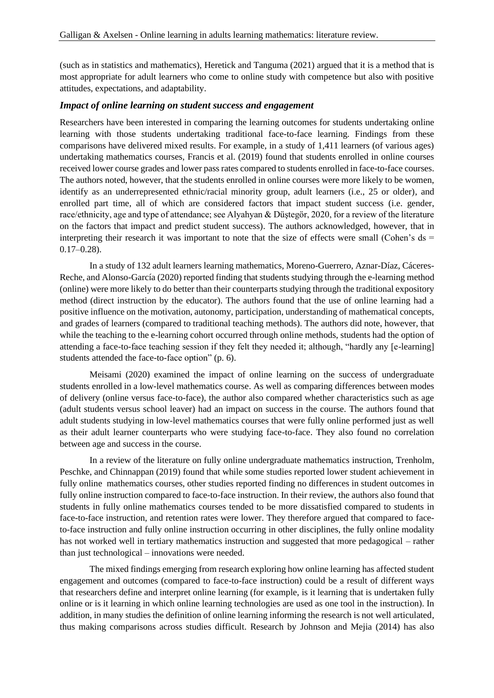(such as in statistics and mathematics), Heretick and Tanguma (2021) argued that it is a method that is most appropriate for adult learners who come to online study with competence but also with positive attitudes, expectations, and adaptability.

#### *Impact of online learning on student success and engagement*

Researchers have been interested in comparing the learning outcomes for students undertaking online learning with those students undertaking traditional face-to-face learning. Findings from these comparisons have delivered mixed results. For example, in a study of 1,411 learners (of various ages) undertaking mathematics courses, Francis et al. (2019) found that students enrolled in online courses received lower course grades and lower pass rates compared to students enrolled in face-to-face courses. The authors noted, however, that the students enrolled in online courses were more likely to be women, identify as an underrepresented ethnic/racial minority group, adult learners (i.e., 25 or older), and enrolled part time, all of which are considered factors that impact student success (i.e. gender, race/ethnicity, age and type of attendance; see Alyahyan & Düştegör, 2020, for a review of the literature on the factors that impact and predict student success). The authors acknowledged, however, that in interpreting their research it was important to note that the size of effects were small (Cohen's  $ds =$ 0.17–0.28).

In a study of 132 adult learners learning mathematics, Moreno-Guerrero, Aznar-Díaz, Cáceres-Reche, and Alonso-García (2020) reported finding that students studying through the e-learning method (online) were more likely to do better than their counterparts studying through the traditional expository method (direct instruction by the educator). The authors found that the use of online learning had a positive influence on the motivation, autonomy, participation, understanding of mathematical concepts, and grades of learners (compared to traditional teaching methods). The authors did note, however, that while the teaching to the e-learning cohort occurred through online methods, students had the option of attending a face-to-face teaching session if they felt they needed it; although, "hardly any [e-learning] students attended the face-to-face option" (p. 6).

Meisami (2020) examined the impact of online learning on the success of undergraduate students enrolled in a low-level mathematics course. As well as comparing differences between modes of delivery (online versus face-to-face), the author also compared whether characteristics such as age (adult students versus school leaver) had an impact on success in the course. The authors found that adult students studying in low-level mathematics courses that were fully online performed just as well as their adult learner counterparts who were studying face-to-face. They also found no correlation between age and success in the course.

In a review of the literature on fully online undergraduate mathematics instruction, Trenholm, Peschke, and Chinnappan (2019) found that while some studies reported lower student achievement in fully online mathematics courses, other studies reported finding no differences in student outcomes in fully online instruction compared to face-to-face instruction. In their review, the authors also found that students in fully online mathematics courses tended to be more dissatisfied compared to students in face-to-face instruction, and retention rates were lower. They therefore argued that compared to faceto-face instruction and fully online instruction occurring in other disciplines, the fully online modality has not worked well in tertiary mathematics instruction and suggested that more pedagogical – rather than just technological – innovations were needed.

The mixed findings emerging from research exploring how online learning has affected student engagement and outcomes (compared to face-to-face instruction) could be a result of different ways that researchers define and interpret online learning (for example, is it learning that is undertaken fully online or is it learning in which online learning technologies are used as one tool in the instruction). In addition, in many studies the definition of online learning informing the research is not well articulated, thus making comparisons across studies difficult. Research by Johnson and Mejia (2014) has also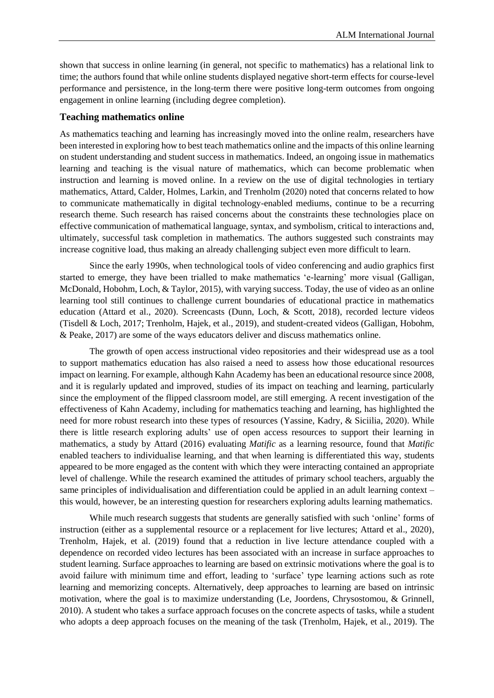shown that success in online learning (in general, not specific to mathematics) has a relational link to time; the authors found that while online students displayed negative short-term effects for course-level performance and persistence, in the long-term there were positive long-term outcomes from ongoing engagement in online learning (including degree completion).

#### **Teaching mathematics online**

As mathematics teaching and learning has increasingly moved into the online realm, researchers have been interested in exploring how to best teach mathematics online and the impacts of this online learning on student understanding and student success in mathematics. Indeed, an ongoing issue in mathematics learning and teaching is the visual nature of mathematics, which can become problematic when instruction and learning is moved online. In a review on the use of digital technologies in tertiary mathematics, Attard, Calder, Holmes, Larkin, and Trenholm (2020) noted that concerns related to how to communicate mathematically in digital technology-enabled mediums, continue to be a recurring research theme. Such research has raised concerns about the constraints these technologies place on effective communication of mathematical language, syntax, and symbolism, critical to interactions and, ultimately, successful task completion in mathematics. The authors suggested such constraints may increase cognitive load, thus making an already challenging subject even more difficult to learn.

Since the early 1990s, when technological tools of video conferencing and audio graphics first started to emerge, they have been trialled to make mathematics 'e-learning' more visual (Galligan, McDonald, Hobohm, Loch, & Taylor, 2015), with varying success. Today, the use of video as an online learning tool still continues to challenge current boundaries of educational practice in mathematics education (Attard et al., 2020). Screencasts (Dunn, Loch, & Scott, 2018), recorded lecture videos (Tisdell & Loch, 2017; Trenholm, Hajek, et al., 2019), and student-created videos (Galligan, Hobohm, & Peake, 2017) are some of the ways educators deliver and discuss mathematics online.

The growth of open access instructional video repositories and their widespread use as a tool to support mathematics education has also raised a need to assess how those educational resources impact on learning. For example, although Kahn Academy has been an educational resource since 2008, and it is regularly updated and improved, studies of its impact on teaching and learning, particularly since the employment of the flipped classroom model, are still emerging. A recent investigation of the effectiveness of Kahn Academy, including for mathematics teaching and learning, has highlighted the need for more robust research into these types of resources (Yassine, Kadry, & Siciilia, 2020). While there is little research exploring adults' use of open access resources to support their learning in mathematics, a study by Attard (2016) evaluating *Matific* as a learning resource, found that *Matific* enabled teachers to individualise learning, and that when learning is differentiated this way, students appeared to be more engaged as the content with which they were interacting contained an appropriate level of challenge. While the research examined the attitudes of primary school teachers, arguably the same principles of individualisation and differentiation could be applied in an adult learning context – this would, however, be an interesting question for researchers exploring adults learning mathematics.

While much research suggests that students are generally satisfied with such 'online' forms of instruction (either as a supplemental resource or a replacement for live lectures; Attard et al., 2020), Trenholm, Hajek, et al. (2019) found that a reduction in live lecture attendance coupled with a dependence on recorded video lectures has been associated with an increase in surface approaches to student learning. Surface approaches to learning are based on extrinsic motivations where the goal is to avoid failure with minimum time and effort, leading to 'surface' type learning actions such as rote learning and memorizing concepts. Alternatively, deep approaches to learning are based on intrinsic motivation, where the goal is to maximize understanding (Le, Joordens, Chrysostomou, & Grinnell, 2010). A student who takes a surface approach focuses on the concrete aspects of tasks, while a student who adopts a deep approach focuses on the meaning of the task (Trenholm, Hajek, et al., 2019). The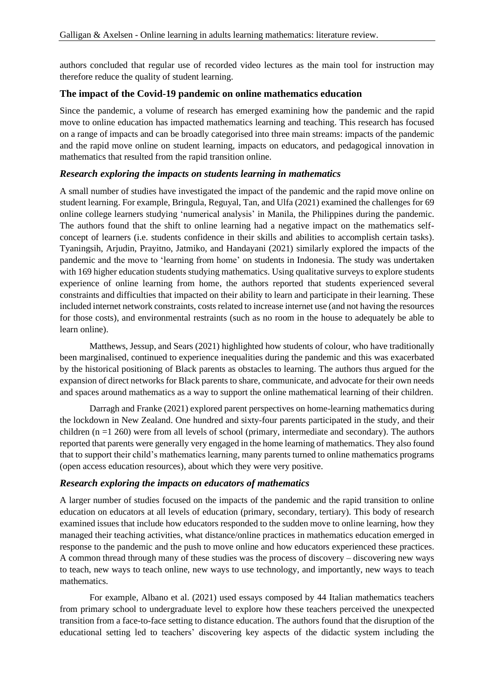authors concluded that regular use of recorded video lectures as the main tool for instruction may therefore reduce the quality of student learning.

### **The impact of the Covid-19 pandemic on online mathematics education**

Since the pandemic, a volume of research has emerged examining how the pandemic and the rapid move to online education has impacted mathematics learning and teaching. This research has focused on a range of impacts and can be broadly categorised into three main streams: impacts of the pandemic and the rapid move online on student learning, impacts on educators, and pedagogical innovation in mathematics that resulted from the rapid transition online.

#### *Research exploring the impacts on students learning in mathematics*

A small number of studies have investigated the impact of the pandemic and the rapid move online on student learning. For example, Bringula, Reguyal, Tan, and Ulfa (2021) examined the challenges for 69 online college learners studying 'numerical analysis' in Manila, the Philippines during the pandemic. The authors found that the shift to online learning had a negative impact on the mathematics selfconcept of learners (i.e. students confidence in their skills and abilities to accomplish certain tasks). Tyaningsih, Arjudin, Prayitno, Jatmiko, and Handayani (2021) similarly explored the impacts of the pandemic and the move to 'learning from home' on students in Indonesia. The study was undertaken with 169 higher education students studying mathematics. Using qualitative surveys to explore students experience of online learning from home, the authors reported that students experienced several constraints and difficulties that impacted on their ability to learn and participate in their learning. These included internet network constraints, costs related to increase internet use (and not having the resources for those costs), and environmental restraints (such as no room in the house to adequately be able to learn online).

Matthews, Jessup, and Sears (2021) highlighted how students of colour, who have traditionally been marginalised, continued to experience inequalities during the pandemic and this was exacerbated by the historical positioning of Black parents as obstacles to learning. The authors thus argued for the expansion of direct networks for Black parents to share, communicate, and advocate for their own needs and spaces around mathematics as a way to support the online mathematical learning of their children.

Darragh and Franke (2021) explored parent perspectives on home-learning mathematics during the lockdown in New Zealand. One hundred and sixty-four parents participated in the study, and their children (n =1 260) were from all levels of school (primary, intermediate and secondary). The authors reported that parents were generally very engaged in the home learning of mathematics. They also found that to support their child's mathematics learning, many parents turned to online mathematics programs (open access education resources), about which they were very positive.

#### *Research exploring the impacts on educators of mathematics*

A larger number of studies focused on the impacts of the pandemic and the rapid transition to online education on educators at all levels of education (primary, secondary, tertiary). This body of research examined issues that include how educators responded to the sudden move to online learning, how they managed their teaching activities, what distance/online practices in mathematics education emerged in response to the pandemic and the push to move online and how educators experienced these practices. A common thread through many of these studies was the process of discovery – discovering new ways to teach, new ways to teach online, new ways to use technology, and importantly, new ways to teach mathematics.

For example, Albano et al. (2021) used essays composed by 44 Italian mathematics teachers from primary school to undergraduate level to explore how these teachers perceived the unexpected transition from a face-to-face setting to distance education. The authors found that the disruption of the educational setting led to teachers' discovering key aspects of the didactic system including the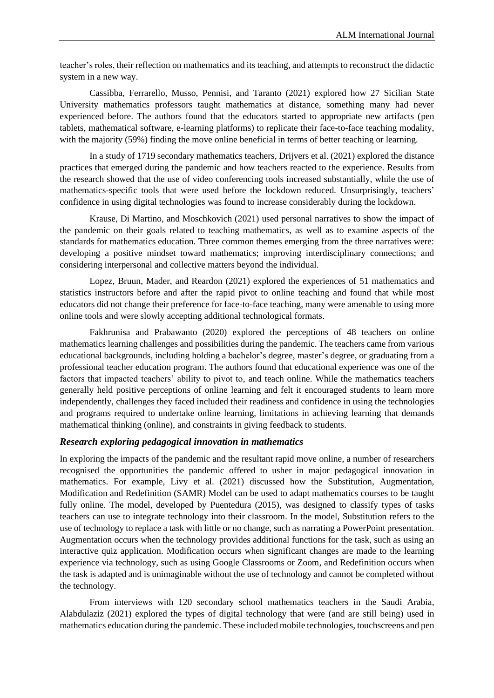teacher's roles, their reflection on mathematics and its teaching, and attempts to reconstruct the didactic system in a new way.

Cassibba, Ferrarello, Musso, Pennisi, and Taranto (2021) explored how 27 Sicilian State University mathematics professors taught mathematics at distance, something many had never experienced before. The authors found that the educators started to appropriate new artifacts (pen tablets, mathematical software, e-learning platforms) to replicate their face-to-face teaching modality, with the majority (59%) finding the move online beneficial in terms of better teaching or learning.

In a study of 1719 secondary mathematics teachers, Drijvers et al. (2021) explored the distance practices that emerged during the pandemic and how teachers reacted to the experience. Results from the research showed that the use of video conferencing tools increased substantially, while the use of mathematics-specific tools that were used before the lockdown reduced. Unsurprisingly, teachers' confidence in using digital technologies was found to increase considerably during the lockdown.

Krause, Di Martino, and Moschkovich (2021) used personal narratives to show the impact of the pandemic on their goals related to teaching mathematics, as well as to examine aspects of the standards for mathematics education. Three common themes emerging from the three narratives were: developing a positive mindset toward mathematics; improving interdisciplinary connections; and considering interpersonal and collective matters beyond the individual.

Lopez, Bruun, Mader, and Reardon (2021) explored the experiences of 51 mathematics and statistics instructors before and after the rapid pivot to online teaching and found that while most educators did not change their preference for face-to-face teaching, many were amenable to using more online tools and were slowly accepting additional technological formats.

Fakhrunisa and Prabawanto (2020) explored the perceptions of 48 teachers on online mathematics learning challenges and possibilities during the pandemic. The teachers came from various educational backgrounds, including holding a bachelor's degree, master's degree, or graduating from a professional teacher education program. The authors found that educational experience was one of the factors that impacted teachers' ability to pivot to, and teach online. While the mathematics teachers generally held positive perceptions of online learning and felt it encouraged students to learn more independently, challenges they faced included their readiness and confidence in using the technologies and programs required to undertake online learning, limitations in achieving learning that demands mathematical thinking (online), and constraints in giving feedback to students.

#### *Research exploring pedagogical innovation in mathematics*

In exploring the impacts of the pandemic and the resultant rapid move online, a number of researchers recognised the opportunities the pandemic offered to usher in major pedagogical innovation in mathematics. For example, Livy et al. (2021) discussed how the Substitution, Augmentation, Modification and Redefinition (SAMR) Model can be used to adapt mathematics courses to be taught fully online. The model, developed by Puentedura (2015), was designed to classify types of tasks teachers can use to integrate technology into their classroom. In the model, Substitution refers to the use of technology to replace a task with little or no change, such as narrating a PowerPoint presentation. Augmentation occurs when the technology provides additional functions for the task, such as using an interactive quiz application. Modification occurs when significant changes are made to the learning experience via technology, such as using Google Classrooms or Zoom, and Redefinition occurs when the task is adapted and is unimaginable without the use of technology and cannot be completed without the technology.

From interviews with 120 secondary school mathematics teachers in the Saudi Arabia, Alabdulaziz (2021) explored the types of digital technology that were (and are still being) used in mathematics education during the pandemic. These included mobile technologies, touchscreens and pen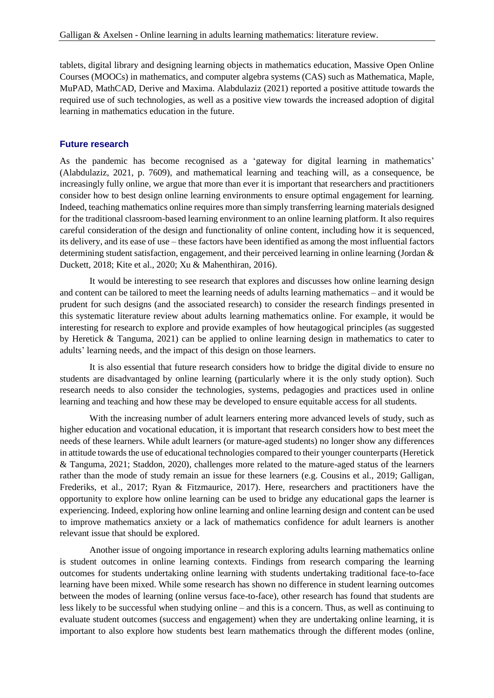tablets, digital library and designing learning objects in mathematics education, Massive Open Online Courses (MOOCs) in mathematics, and computer algebra systems (CAS) such as Mathematica, Maple, MuPAD, MathCAD, Derive and Maxima. Alabdulaziz (2021) reported a positive attitude towards the required use of such technologies, as well as a positive view towards the increased adoption of digital learning in mathematics education in the future.

#### **Future research**

As the pandemic has become recognised as a 'gateway for digital learning in mathematics' (Alabdulaziz, 2021, p. 7609), and mathematical learning and teaching will, as a consequence, be increasingly fully online, we argue that more than ever it is important that researchers and practitioners consider how to best design online learning environments to ensure optimal engagement for learning. Indeed, teaching mathematics online requires more than simply transferring learning materials designed for the traditional classroom-based learning environment to an online learning platform. It also requires careful consideration of the design and functionality of online content, including how it is sequenced, its delivery, and its ease of use – these factors have been identified as among the most influential factors determining student satisfaction, engagement, and their perceived learning in online learning (Jordan & Duckett, 2018; Kite et al., 2020; Xu & Mahenthiran, 2016).

It would be interesting to see research that explores and discusses how online learning design and content can be tailored to meet the learning needs of adults learning mathematics – and it would be prudent for such designs (and the associated research) to consider the research findings presented in this systematic literature review about adults learning mathematics online. For example, it would be interesting for research to explore and provide examples of how heutagogical principles (as suggested by Heretick & Tanguma, 2021) can be applied to online learning design in mathematics to cater to adults' learning needs, and the impact of this design on those learners.

It is also essential that future research considers how to bridge the digital divide to ensure no students are disadvantaged by online learning (particularly where it is the only study option). Such research needs to also consider the technologies, systems, pedagogies and practices used in online learning and teaching and how these may be developed to ensure equitable access for all students.

With the increasing number of adult learners entering more advanced levels of study, such as higher education and vocational education, it is important that research considers how to best meet the needs of these learners. While adult learners (or mature-aged students) no longer show any differences in attitude towards the use of educational technologies compared to their younger counterparts (Heretick & Tanguma, 2021; Staddon, 2020), challenges more related to the mature-aged status of the learners rather than the mode of study remain an issue for these learners (e.g. Cousins et al., 2019; Galligan, Frederiks, et al., 2017; Ryan & Fitzmaurice, 2017). Here, researchers and practitioners have the opportunity to explore how online learning can be used to bridge any educational gaps the learner is experiencing. Indeed, exploring how online learning and online learning design and content can be used to improve mathematics anxiety or a lack of mathematics confidence for adult learners is another relevant issue that should be explored.

Another issue of ongoing importance in research exploring adults learning mathematics online is student outcomes in online learning contexts. Findings from research comparing the learning outcomes for students undertaking online learning with students undertaking traditional face-to-face learning have been mixed. While some research has shown no difference in student learning outcomes between the modes of learning (online versus face-to-face), other research has found that students are less likely to be successful when studying online – and this is a concern. Thus, as well as continuing to evaluate student outcomes (success and engagement) when they are undertaking online learning, it is important to also explore how students best learn mathematics through the different modes (online,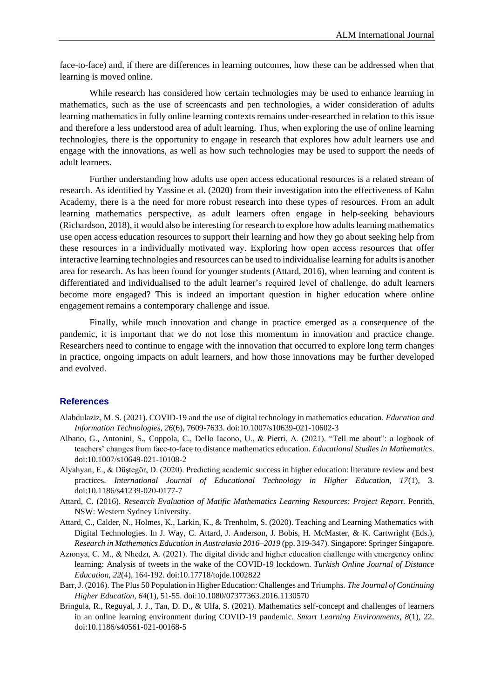face-to-face) and, if there are differences in learning outcomes, how these can be addressed when that learning is moved online.

While research has considered how certain technologies may be used to enhance learning in mathematics, such as the use of screencasts and pen technologies, a wider consideration of adults learning mathematics in fully online learning contexts remains under-researched in relation to this issue and therefore a less understood area of adult learning. Thus, when exploring the use of online learning technologies, there is the opportunity to engage in research that explores how adult learners use and engage with the innovations, as well as how such technologies may be used to support the needs of adult learners.

Further understanding how adults use open access educational resources is a related stream of research. As identified by Yassine et al. (2020) from their investigation into the effectiveness of Kahn Academy, there is a the need for more robust research into these types of resources. From an adult learning mathematics perspective, as adult learners often engage in help-seeking behaviours (Richardson, 2018), it would also be interesting for research to explore how adults learning mathematics use open access education resources to support their learning and how they go about seeking help from these resources in a individually motivated way. Exploring how open access resources that offer interactive learning technologies and resources can be used to individualise learning for adults is another area for research. As has been found for younger students (Attard, 2016), when learning and content is differentiated and individualised to the adult learner's required level of challenge, do adult learners become more engaged? This is indeed an important question in higher education where online engagement remains a contemporary challenge and issue.

Finally, while much innovation and change in practice emerged as a consequence of the pandemic, it is important that we do not lose this momentum in innovation and practice change. Researchers need to continue to engage with the innovation that occurred to explore long term changes in practice, ongoing impacts on adult learners, and how those innovations may be further developed and evolved.

#### **References**

- Alabdulaziz, M. S. (2021). COVID-19 and the use of digital technology in mathematics education. *Education and Information Technologies, 26*(6), 7609-7633. doi:10.1007/s10639-021-10602-3
- Albano, G., Antonini, S., Coppola, C., Dello Iacono, U., & Pierri, A. (2021). "Tell me about": a logbook of teachers' changes from face-to-face to distance mathematics education. *Educational Studies in Mathematics*. doi:10.1007/s10649-021-10108-2
- Alyahyan, E., & Düştegör, D. (2020). Predicting academic success in higher education: literature review and best practices. *International Journal of Educational Technology in Higher Education, 17*(1), 3. doi:10.1186/s41239-020-0177-7
- Attard, C. (2016). *Research Evaluation of Matific Mathematics Learning Resources: Project Report*. Penrith, NSW: Western Sydney University.
- Attard, C., Calder, N., Holmes, K., Larkin, K., & Trenholm, S. (2020). Teaching and Learning Mathematics with Digital Technologies. In J. Way, C. Attard, J. Anderson, J. Bobis, H. McMaster, & K. Cartwright (Eds.), *Research in Mathematics Education in Australasia 2016–2019* (pp. 319-347). Singapore: Springer Singapore.
- Azıonya, C. M., & Nhedzı, A. (2021). The digital divide and higher education challenge with emergency online learning: Analysis of tweets in the wake of the COVID-19 lockdown. *Turkish Online Journal of Distance Education, 22*(4), 164-192. doi:10.17718/tojde.1002822
- Barr, J. (2016). The Plus 50 Population in Higher Education: Challenges and Triumphs. *The Journal of Continuing Higher Education, 64*(1), 51-55. doi:10.1080/07377363.2016.1130570
- Bringula, R., Reguyal, J. J., Tan, D. D., & Ulfa, S. (2021). Mathematics self-concept and challenges of learners in an online learning environment during COVID-19 pandemic. *Smart Learning Environments, 8*(1), 22. doi:10.1186/s40561-021-00168-5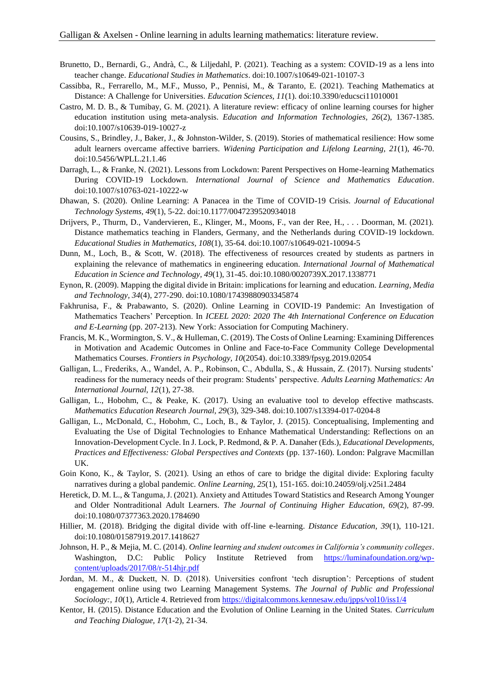- Brunetto, D., Bernardi, G., Andrà, C., & Liljedahl, P. (2021). Teaching as a system: COVID-19 as a lens into teacher change. *Educational Studies in Mathematics*. doi:10.1007/s10649-021-10107-3
- Cassibba, R., Ferrarello, M., M.F., Musso, P., Pennisi, M., & Taranto, E. (2021). Teaching Mathematics at Distance: A Challenge for Universities. *Education Sciences, 11*(1). doi:10.3390/educsci11010001
- Castro, M. D. B., & Tumibay, G. M. (2021). A literature review: efficacy of online learning courses for higher education institution using meta-analysis. *Education and Information Technologies, 26*(2), 1367-1385. doi:10.1007/s10639-019-10027-z
- Cousins, S., Brindley, J., Baker, J., & Johnston-Wilder, S. (2019). Stories of mathematical resilience: How some adult learners overcame affective barriers. *Widening Participation and Lifelong Learning, 21*(1), 46-70. doi:10.5456/WPLL.21.1.46
- Darragh, L., & Franke, N. (2021). Lessons from Lockdown: Parent Perspectives on Home-learning Mathematics During COVID-19 Lockdown. *International Journal of Science and Mathematics Education*. doi:10.1007/s10763-021-10222-w
- Dhawan, S. (2020). Online Learning: A Panacea in the Time of COVID-19 Crisis. *Journal of Educational Technology Systems, 49*(1), 5-22. doi:10.1177/0047239520934018
- Drijvers, P., Thurm, D., Vandervieren, E., Klinger, M., Moons, F., van der Ree, H., . . . Doorman, M. (2021). Distance mathematics teaching in Flanders, Germany, and the Netherlands during COVID-19 lockdown. *Educational Studies in Mathematics, 108*(1), 35-64. doi:10.1007/s10649-021-10094-5
- Dunn, M., Loch, B., & Scott, W. (2018). The effectiveness of resources created by students as partners in explaining the relevance of mathematics in engineering education. *International Journal of Mathematical Education in Science and Technology, 49*(1), 31-45. doi:10.1080/0020739X.2017.1338771
- Eynon, R. (2009). Mapping the digital divide in Britain: implications for learning and education. *Learning, Media and Technology, 34*(4), 277-290. doi:10.1080/17439880903345874
- Fakhrunisa, F., & Prabawanto, S. (2020). Online Learning in COVID-19 Pandemic: An Investigation of Mathematics Teachers' Perception. In *ICEEL 2020: 2020 The 4th International Conference on Education and E-Learning* (pp. 207-213). New York: Association for Computing Machinery.
- Francis, M. K., Wormington, S. V., & Hulleman, C. (2019). The Costs of Online Learning: Examining Differences in Motivation and Academic Outcomes in Online and Face-to-Face Community College Developmental Mathematics Courses. *Frontiers in Psychology, 10*(2054). doi:10.3389/fpsyg.2019.02054
- Galligan, L., Frederiks, A., Wandel, A. P., Robinson, C., Abdulla, S., & Hussain, Z. (2017). Nursing students' readiness for the numeracy needs of their program: Students' perspective. *Adults Learning Mathematics: An International Journal, 12*(1), 27-38.
- Galligan, L., Hobohm, C., & Peake, K. (2017). Using an evaluative tool to develop effective mathscasts. *Mathematics Education Research Journal, 29*(3), 329-348. doi:10.1007/s13394-017-0204-8
- Galligan, L., McDonald, C., Hobohm, C., Loch, B., & Taylor, J. (2015). Conceptualising, Implementing and Evaluating the Use of Digital Technologies to Enhance Mathematical Understanding: Reflections on an Innovation-Development Cycle. In J. Lock, P. Redmond, & P. A. Danaher (Eds.), *Educational Developments, Practices and Effectiveness: Global Perspectives and Contexts* (pp. 137-160). London: Palgrave Macmillan UK.
- Goin Kono, K., & Taylor, S. (2021). Using an ethos of care to bridge the digital divide: Exploring faculty narratives during a global pandemic. *Online Learning, 25*(1), 151-165. doi:10.24059/olj.v25i1.2484
- Heretick, D. M. L., & Tanguma, J. (2021). Anxiety and Attitudes Toward Statistics and Research Among Younger and Older Nontraditional Adult Learners. *The Journal of Continuing Higher Education, 69*(2), 87-99. doi:10.1080/07377363.2020.1784690
- Hillier, M. (2018). Bridging the digital divide with off-line e-learning. *Distance Education, 39*(1), 110-121. doi:10.1080/01587919.2017.1418627
- Johnson, H. P., & Mejia, M. C. (2014). *Online learning and student outcomes in California's community colleges*. Washington, D.C: Public Policy Institute Retrieved from [https://luminafoundation.org/wp](https://luminafoundation.org/wp-content/uploads/2017/08/r-514hjr.pdf)[content/uploads/2017/08/r-514hjr.pdf](https://luminafoundation.org/wp-content/uploads/2017/08/r-514hjr.pdf)
- Jordan, M. M., & Duckett, N. D. (2018). Universities confront 'tech disruption': Perceptions of student engagement online using two Learning Management Systems. *The Journal of Public and Professional Sociology:, 10*(1), Article 4. Retrieved from<https://digitalcommons.kennesaw.edu/jpps/vol10/iss1/4>
- Kentor, H. (2015). Distance Education and the Evolution of Online Learning in the United States. *Curriculum and Teaching Dialogue, 17*(1-2), 21-34.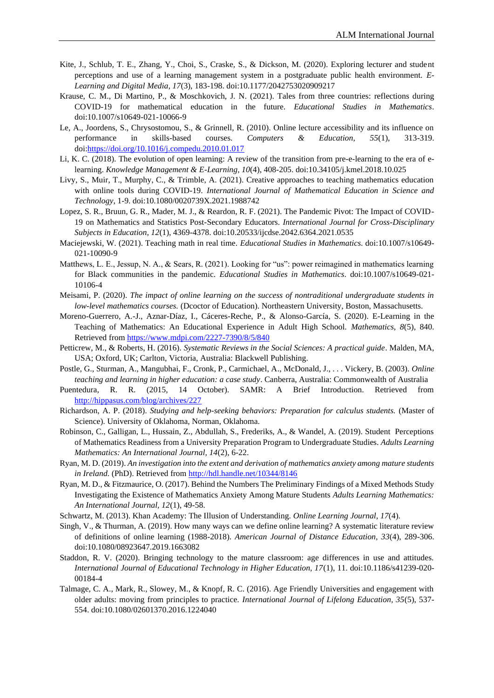- Kite, J., Schlub, T. E., Zhang, Y., Choi, S., Craske, S., & Dickson, M. (2020). Exploring lecturer and student perceptions and use of a learning management system in a postgraduate public health environment. *E-Learning and Digital Media, 17*(3), 183-198. doi:10.1177/2042753020909217
- Krause, C. M., Di Martino, P., & Moschkovich, J. N. (2021). Tales from three countries: reflections during COVID-19 for mathematical education in the future. *Educational Studies in Mathematics*. doi:10.1007/s10649-021-10066-9
- Le, A., Joordens, S., Chrysostomou, S., & Grinnell, R. (2010). Online lecture accessibility and its influence on performance in skills-based courses. *Computers & Education, 55*(1), 313-319. doi[:https://doi.org/10.1016/j.compedu.2010.01.017](https://doi.org/10.1016/j.compedu.2010.01.017)
- Li, K. C. (2018). The evolution of open learning: A review of the transition from pre-e-learning to the era of elearning. *Knowledge Management & E-Learning, 10*(4), 408-205. doi:10.34105/j.kmel.2018.10.025
- Livy, S., Muir, T., Murphy, C., & Trimble, A. (2021). Creative approaches to teaching mathematics education with online tools during COVID-19. *International Journal of Mathematical Education in Science and Technology*, 1-9. doi:10.1080/0020739X.2021.1988742
- Lopez, S. R., Bruun, G. R., Mader, M. J., & Reardon, R. F. (2021). The Pandemic Pivot: The Impact of COVID-19 on Mathematics and Statistics Post-Secondary Educators. *International Journal for Cross-Disciplinary Subjects in Education, 12*(1), 4369-4378. doi:10.20533/ijcdse.2042.6364.2021.0535
- Maciejewski, W. (2021). Teaching math in real time. *Educational Studies in Mathematics*. doi:10.1007/s10649- 021-10090-9
- Matthews, L. E., Jessup, N. A., & Sears, R. (2021). Looking for "us": power reimagined in mathematics learning for Black communities in the pandemic. *Educational Studies in Mathematics*. doi:10.1007/s10649-021- 10106-4
- Meisami, P. (2020). *The impact of online learning on the success of nontraditional undergraduate students in low-level mathematics courses.* (Dcoctor of Education). Northeastern University, Boston, Massachusetts.
- Moreno-Guerrero, A.-J., Aznar-Díaz, I., Cáceres-Reche, P., & Alonso-García, S. (2020). E-Learning in the Teaching of Mathematics: An Educational Experience in Adult High School. *Mathematics, 8*(5), 840. Retrieved from<https://www.mdpi.com/2227-7390/8/5/840>
- Petticrew, M., & Roberts, H. (2016). *Systematic Reviews in the Social Sciences: A practical guide*. Malden, MA, USA; Oxford, UK; Carlton, Victoria, Australia: Blackwell Publishing.
- Postle, G., Sturman, A., Mangubhai, F., Cronk, P., Carmichael, A., McDonald, J., . . . Vickery, B. (2003). *Online teaching and learning in higher education: a case study*. Canberra, Australia: Commonwealth of Australia
- Puentedura, R. R. (2015, 14 October). SAMR: A Brief Introduction. Retrieved from <http://hippasus.com/blog/archives/227>
- Richardson, A. P. (2018). *Studying and help-seeking behaviors: Preparation for calculus students.* (Master of Science). University of Oklahoma, Norman, Oklahoma.
- Robinson, C., Galligan, L., Hussain, Z., Abdullah, S., Frederiks, A., & Wandel, A. (2019). Student Perceptions of Mathematics Readiness from a University Preparation Program to Undergraduate Studies. *Adults Learning Mathematics: An International Journal, 14*(2), 6-22.
- Ryan, M. D. (2019). *An investigation into the extent and derivation of mathematics anxiety among mature students in Ireland.* (PhD). Retrieved from<http://hdl.handle.net/10344/8146>
- Ryan, M. D., & Fitzmaurice, O. (2017). Behind the Numbers The Preliminary Findings of a Mixed Methods Study Investigating the Existence of Mathematics Anxiety Among Mature Students *Adults Learning Mathematics: An International Journal, 12*(1), 49-58.
- Schwartz, M. (2013). Khan Academy: The Illusion of Understanding. *Online Learning Journal, 17*(4).
- Singh, V., & Thurman, A. (2019). How many ways can we define online learning? A systematic literature review of definitions of online learning (1988-2018). *American Journal of Distance Education, 33*(4), 289-306. doi:10.1080/08923647.2019.1663082
- Staddon, R. V. (2020). Bringing technology to the mature classroom: age differences in use and attitudes. *International Journal of Educational Technology in Higher Education, 17*(1), 11. doi:10.1186/s41239-020- 00184-4
- Talmage, C. A., Mark, R., Slowey, M., & Knopf, R. C. (2016). Age Friendly Universities and engagement with older adults: moving from principles to practice. *International Journal of Lifelong Education, 35*(5), 537- 554. doi:10.1080/02601370.2016.1224040